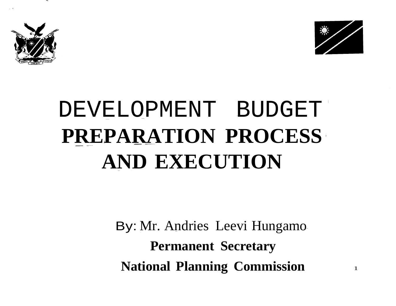

, I



#### DEVELOPMENT BUDGET **PREPARATION PROCESS AND EXECUTION**

By: Mr. Andries Leevi Hungamo **Permanent Secretary National Planning Commission** <sup>1</sup>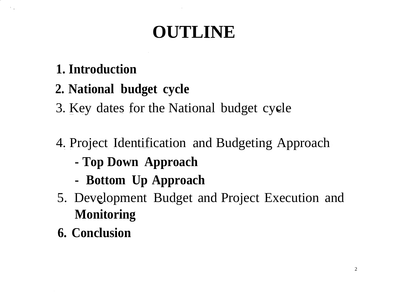#### **OUTLINE**

#### **1. Introduction**

#### **2. National budget cycle**

3. Key dates for the National budget cycle

- 4. Project Identification and Budgeting Approach
	- **- Top Down Approach**
	- **- Bottom Up Approach**
- 5. Development Budget and Project Execution and **Monitoring**
- **6. Conclusion**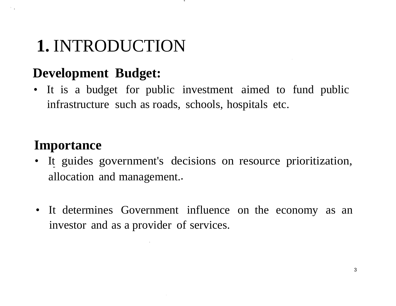#### **1.** INTRODUCTION

#### **Development Budget:**

• It is a budget for public investment aimed to fund public infrastructure such as roads, schools, hospitals etc.

#### **Importance**

- It guides government's decisions on resource prioritization, allocation and management.
- It determines Government influence on the economy as an investor and as a provider of services.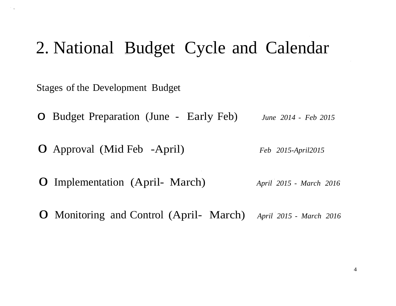#### 2. National Budget Cycle and Calendar

Stages of the Development Budget

- o Budget Preparation (June Early Feb) *June <sup>2014</sup> - Feb <sup>2015</sup>*
- o Approval (Mid Feb -April) *Feb 2015-April2015*
- o Implementation (April- March) *April <sup>2015</sup> - March <sup>2016</sup>*
- o Monitoring and Control (April- March) *April <sup>2015</sup> - March <sup>2016</sup>*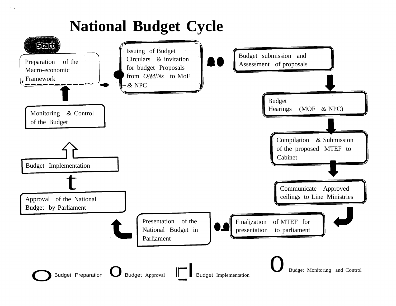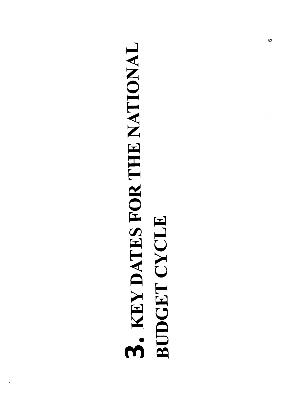## 3. KEY DATES FOR THE NATIONAL BUDGET CYCLE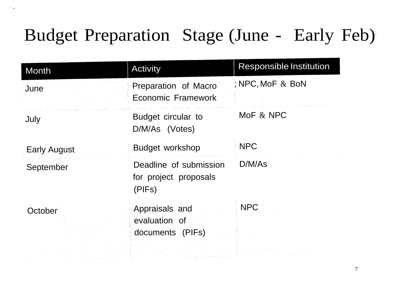#### Budget Preparation Stage (June - Early Feb)

 $\lambda_{\rm max}$ 

 $\sim$ 

| <b>Month</b>        | <b>Activity</b>                                           | <b>Responsible Institution</b> |
|---------------------|-----------------------------------------------------------|--------------------------------|
| June                | Preparation of Macro<br>Economic Framework                | ; NPC, MoF $&$ BoN             |
| July                | Budget circular to<br>D/M/As (Votes)                      | MoF & NPC                      |
| <b>Early August</b> | <b>Budget workshop</b>                                    | <b>NPC</b>                     |
| September           | Deadline of submission<br>for project proposals<br>(PIFs) | D/M/As                         |
| October             | Appraisals and<br>evaluation of<br>documents (PIFs)       | <b>NPC</b>                     |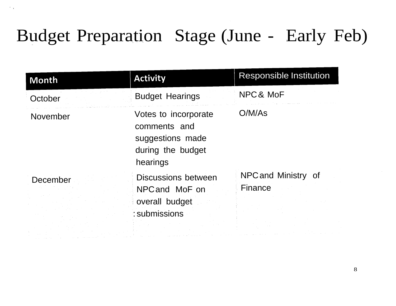#### Budget Preparation Stage (June - Early Feb)

· ,

| Month    | <b>Activity</b>                                                                           | <b>Responsible Institution</b> |
|----------|-------------------------------------------------------------------------------------------|--------------------------------|
| October  | <b>Budget Hearings</b>                                                                    | NPC& MoF                       |
| November | Votes to incorporate<br>comments and<br>suggestions made<br>during the budget<br>hearings | O/M/As                         |
| December | <b>Discussions between</b><br>NPC and MoF on<br>overall budget<br>: submissions           | NPC and Ministry of<br>Finance |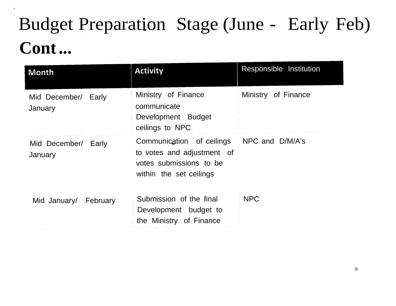#### Budget Preparation Stage (June - Early Feb) **Cont...**

 $\sim$   $_{\bullet}$ 

| Month                             | <b>Activity</b>                                                                                               | Responsible Institution |
|-----------------------------------|---------------------------------------------------------------------------------------------------------------|-------------------------|
| Mid December/ Early<br>January    | Ministry of Finance<br>communicate<br>Development Budget<br>ceilings to NPC                                   | of Finance<br>Ministry  |
| Mid December/<br>Early<br>January | Communication of ceilings<br>to votes and adjustment of<br>votes submissions to be<br>within the set ceilings | NPC and D/M/A's         |
| Mid January/ February             | Submission of the final<br>Development budget to<br>the Ministry of Finance                                   | <b>NPC</b>              |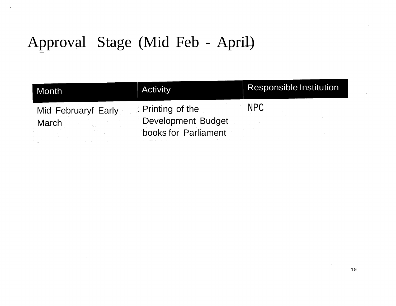#### Approval Stage (Mid Feb - April)

 $\sim$   $\sim$ 

| Month               | <b>Activity</b>           | <b>Responsible Institution</b> |
|---------------------|---------------------------|--------------------------------|
| Mid Februaryf Early | . Printing of the         | NPC                            |
| <b>March</b>        | <b>Development Budget</b> |                                |
|                     | books for Parliament      |                                |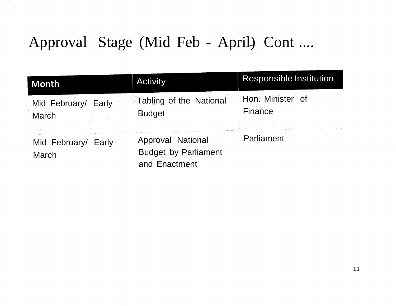#### Approval Stage (Mid Feb - April) Cont ....

 $\sim$   $\sim$ 

| Month                                  | <b>Activity</b>                                                   | <b>Responsible Institution</b> |
|----------------------------------------|-------------------------------------------------------------------|--------------------------------|
| Mid February/ Early<br>March           | Tabling of the National<br><b>Budget</b>                          | Hon. Minister of<br>Finance    |
| Mid February/<br>Early<br><b>March</b> | Approval National<br><b>Budget by Parliament</b><br>and Enactment | Parliament                     |

 $\sim 100$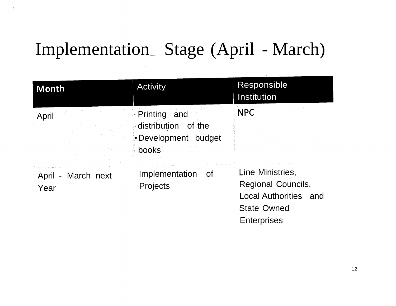#### Implementation Stage (April - March)

| Month                      | <b>Activity</b>                                                       | Responsible<br>Institution                                                                                                |
|----------------------------|-----------------------------------------------------------------------|---------------------------------------------------------------------------------------------------------------------------|
| April                      | - Printing and<br>distribution of the<br>•Development budget<br>books | <b>NPC</b>                                                                                                                |
| April - March next<br>Year | Implementation<br>_of<br>Projects                                     | Line Ministries,<br><b>Regional Councils,</b><br><b>Local Authorities and</b><br><b>State Owned</b><br><b>Enterprises</b> |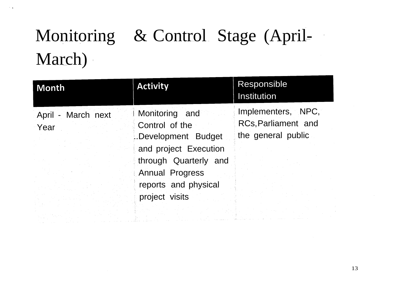#### Monitoring & Control Stage (April-March)

 $\sim$   $\alpha$ 

| Month                      | <b>Activity</b>                                                                                  | Responsible<br><b>Institution</b>                                      |
|----------------------------|--------------------------------------------------------------------------------------------------|------------------------------------------------------------------------|
| April - March next<br>Year | <b>Monitoring</b> and<br>Control of the<br>Development Budget                                    | Implementers, NPC,<br><b>RCs, Parliament and</b><br>the general public |
|                            | and project Execution<br>through Quarterly and<br><b>Annual Progress</b><br>reports and physical |                                                                        |
|                            | project visits                                                                                   |                                                                        |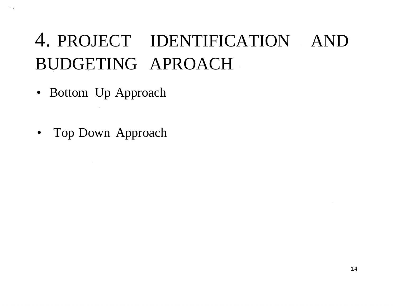#### 4. PROJECT IDENTIFICATION AND BUDGETING APROACH

• Bottom Up Approach

· .

• Top Down Approach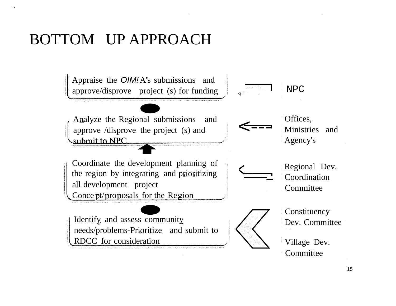#### BOTTOM UP APPROACH

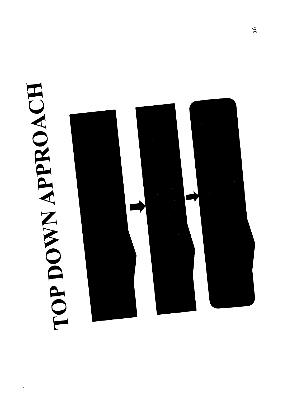# HOROOWN APPROACH

 $\frac{1}{2}$ 

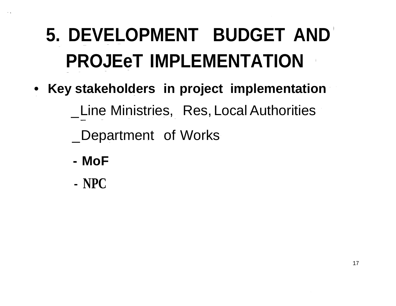#### **5. DEVELOPMENT BUDGET AND PROJEeT IMPLEMENTATION**

- **• Key stakeholders in project implementation**
	- \_Line Ministries, Res, Local Authorities
	- \_Department of Works
	- **- MoF**
	- **- NPC**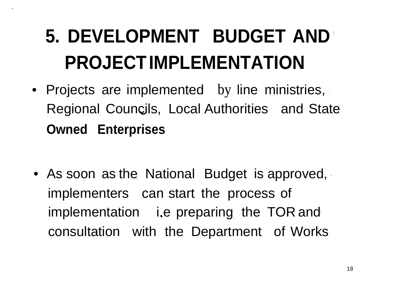#### **5. DEVELOPMENT BUDGET AND PROJECTIMPLEMENTATION**

- Projects are implemented by line ministries, Regional Councils, Local Authorities and State **Owned Enterprises**
- As soon as the National Budget is approved, implementers can start the process of implementation i.e preparing the TOR and consultation with the Department of Works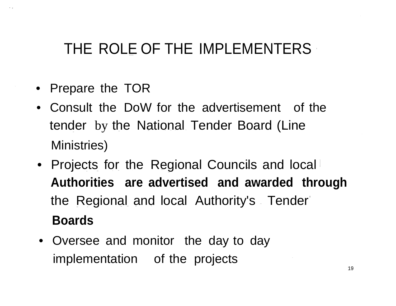#### THE ROLE OF THE IMPLEMENTERS

- Prepare the TOR
- Consult the DoW for the advertisement of the tender by the National Tender Board (Line Ministries)
- Projects for the Regional Councils and local **Authorities are advertised and awarded through** the Regional and local Authority's Tender **Boards**
- Oversee and monitor the day to day implementation of the projects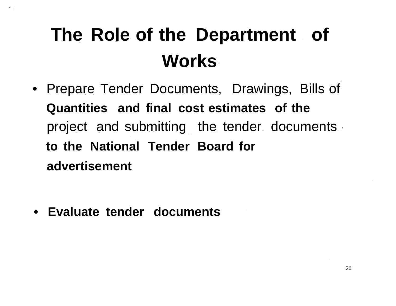#### **The Role of the Department of Works**

• Prepare Tender Documents, Drawings, Bills of **Quantities and final cost estimates of the** project and submitting the tender documents **to the National Tender Board for advertisement**

**• Evaluate tender documents**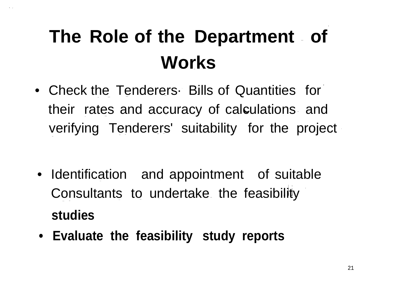#### **The Role of the Department of Works**

- Check the Tenderers Bills of Quantities for their rates and accuracy of calculations and verifying Tenderers' suitability for the project
- Identification and appointment of suitable Consultants to undertake the feasibility **studies**
- **• Evaluate the feasibility study reports**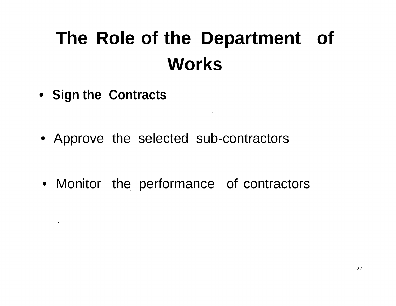#### **The Role of the Department of Works**

- **• Sign the Contracts**
- Approve the selected sub-contractors
- Monitor the performance of contractors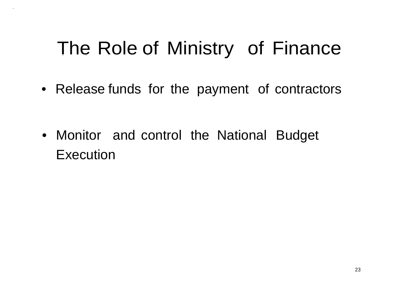#### The Role of Ministry of Finance

- Release funds for the payment of contractors
- Monitor and control the National Budget **Execution**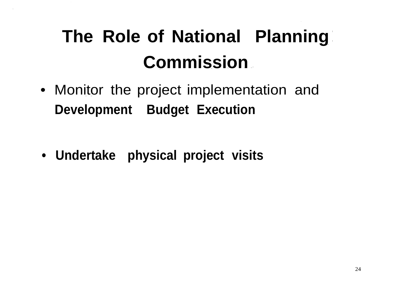#### **The Role of National Planning Commission**

- Monitor the project implementation and **Development Budget Execution**
- **• Undertake physical project visits**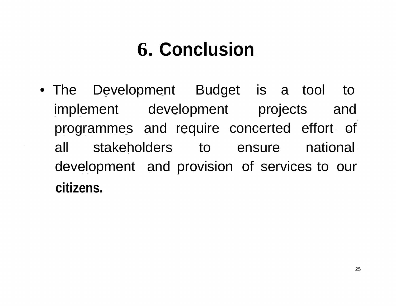#### **6. Conclusion**

• The Development Budget is a tool to implement development projects and programmes and require concerted effort of all stakeholders to ensure national development and provision of services to our **citizens.**